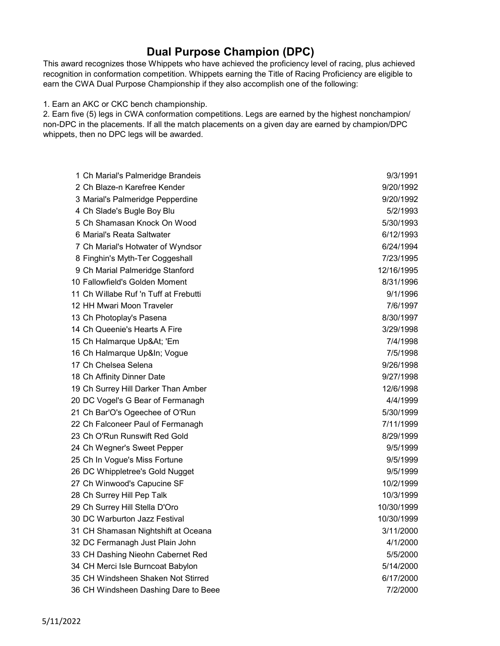## Dual Purpose Champion (DPC)

This award recognizes those Whippets who have achieved the proficiency level of racing, plus achieved recognition in conformation competition. Whippets earning the Title of Racing Proficiency are eligible to earn the CWA Dual Purpose Championship if they also accomplish one of the following:

1. Earn an AKC or CKC bench championship.

2. Earn five (5) legs in CWA conformation competitions. Legs are earned by the highest nonchampion/ non-DPC in the placements. If all the match placements on a given day are earned by champion/DPC whippets, then no DPC legs will be awarded.

| 1 Ch Marial's Palmeridge Brandeis     | 9/3/1991   |
|---------------------------------------|------------|
| 2 Ch Blaze-n Karefree Kender          | 9/20/1992  |
| 3 Marial's Palmeridge Pepperdine      | 9/20/1992  |
| 4 Ch Slade's Bugle Boy Blu            | 5/2/1993   |
| 5 Ch Shamasan Knock On Wood           | 5/30/1993  |
| 6 Marial's Reata Saltwater            | 6/12/1993  |
| 7 Ch Marial's Hotwater of Wyndsor     | 6/24/1994  |
| 8 Finghin's Myth-Ter Coggeshall       | 7/23/1995  |
| 9 Ch Marial Palmeridge Stanford       | 12/16/1995 |
| 10 Fallowfield's Golden Moment        | 8/31/1996  |
| 11 Ch Willabe Ruf 'n Tuff at Frebutti | 9/1/1996   |
| 12 HH Mwari Moon Traveler             | 7/6/1997   |
| 13 Ch Photoplay's Pasena              | 8/30/1997  |
| 14 Ch Queenie's Hearts A Fire         | 3/29/1998  |
| 15 Ch Halmarque Up&At 'Em             | 7/4/1998   |
| 16 Ch Halmarque Up&In Vogue           | 7/5/1998   |
| 17 Ch Chelsea Selena                  | 9/26/1998  |
| 18 Ch Affinity Dinner Date            | 9/27/1998  |
| 19 Ch Surrey Hill Darker Than Amber   | 12/6/1998  |
| 20 DC Vogel's G Bear of Fermanagh     | 4/4/1999   |
| 21 Ch Bar'O's Ogeechee of O'Run       | 5/30/1999  |
| 22 Ch Falconeer Paul of Fermanagh     | 7/11/1999  |
| 23 Ch O'Run Runswift Red Gold         | 8/29/1999  |
| 24 Ch Wegner's Sweet Pepper           | 9/5/1999   |
| 25 Ch In Vogue's Miss Fortune         | 9/5/1999   |
| 26 DC Whippletree's Gold Nugget       | 9/5/1999   |
| 27 Ch Winwood's Capucine SF           | 10/2/1999  |
| 28 Ch Surrey Hill Pep Talk            | 10/3/1999  |
| 29 Ch Surrey Hill Stella D'Oro        | 10/30/1999 |
| 30 DC Warburton Jazz Festival         | 10/30/1999 |
| 31 CH Shamasan Nightshift at Oceana   | 3/11/2000  |
| 32 DC Fermanagh Just Plain John       | 4/1/2000   |
| 33 CH Dashing Nieohn Cabernet Red     | 5/5/2000   |
| 34 CH Merci Isle Burncoat Babylon     | 5/14/2000  |
| 35 CH Windsheen Shaken Not Stirred    | 6/17/2000  |
| 36 CH Windsheen Dashing Dare to Beee  | 7/2/2000   |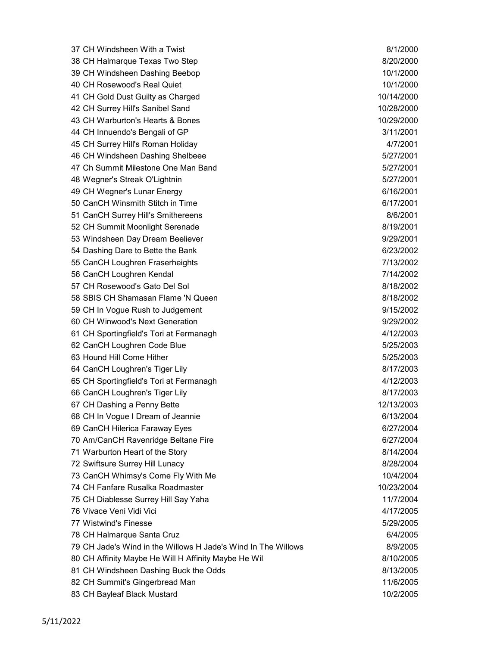37 CH Windsheen With a Twist 8/1/2000 38 CH Halmarque Texas Two Step 8/20/2000 CH 39 CH Windsheen Dashing Beebop 10/1/2000 40 CH Rosewood's Real Quiet 10/1/2000 41 CH Gold Dust Guilty as Charged 10/14/2000 42 CH Surrey Hill's Sanibel Sand 10/28/2000 43 CH Warburton's Hearts & Bones 10/29/2000 44 CH Innuendo's Bengali of GP 3/11/2001 45 CH Surrey Hill's Roman Holiday 4/7/2001 46 CH Windsheen Dashing Shelbeee 5/27/2001 47 Ch Summit Milestone One Man Band 5/27/2001 48 Wegner's Streak O'Lightnin 5/27/2001 49 CH Wegner's Lunar Energy 6/16/2001 50 CanCH Winsmith Stitch in Time 6/17/2001 51 CanCH Surrey Hill's Smithereens 8/6/2001 52 CH Summit Moonlight Serenade 8/19/2001 53 Windsheen Day Dream Beeliever 9/29/2001 54 Dashing Dare to Bette the Bank 6/23/2002 55 CanCH Loughren Fraserheights 7/13/2002 56 CanCH Loughren Kendal 7/14/2002 57 CH Rosewood's Gato Del Sol 8/18/2002 58 SBIS CH Shamasan Flame 'N Queen 8/18/2002 59 CH In Vogue Rush to Judgement **9/15/2002** 60 CH Winwood's Next Generation 9/29/2002 61 CH Sportingfield's Tori at Fermanagh 4/12/2003 62 CanCH Loughren Code Blue 5/25/2003 63 Hound Hill Come Hither **63** Hound Hill Come Fither **5/25/2003** 64 CanCH Loughren's Tiger Lily 8/17/2003 65 CH Sportingfield's Tori at Fermanagh 4/12/2003 66 CanCH Loughren's Tiger Lily 8/17/2003 67 CH Dashing a Penny Bette 12/13/2003 68 CH In Vogue I Dream of Jeannie 6/13/2004 69 CanCH Hilerica Faraway Eyes 6/27/2004 70 Am/CanCH Ravenridge Beltane Fire 6/27/2004 71 Warburton Heart of the Story 8/14/2004 72 Swiftsure Surrey Hill Lunacy 8/28/2004 73 CanCH Whimsy's Come Fly With Me 10/4/2004 74 CH Fanfare Rusalka Roadmaster 10/23/2004 75 CH Diablesse Surrey Hill Say Yaha 11/7/2004 76 Vivace Veni Vidi Vici 4/17/2005 77 Wistwind's Finesse 5/29/2005 78 CH Halmarque Santa Cruz **6/4/2005** 79 CH Jade's Wind in the Willows H Jade's Wind In The Willows 8/9/2005 80 CH Affinity Maybe He Will H Affinity Maybe He Wil 8/10/2005 81 CH Windsheen Dashing Buck the Odds 8/13/2005 82 CH Summit's Gingerbread Man 11/6/2005

83 CH Bayleaf Black Mustard 10/2/2005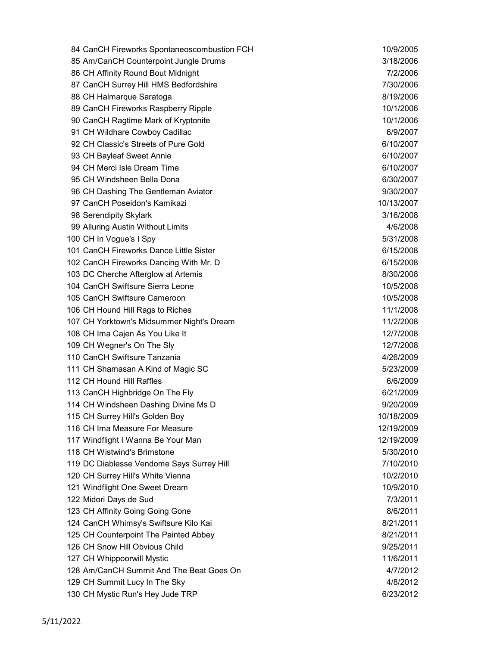84 CanCH Fireworks Spontaneoscombustion FCH 10/9/2005 85 Am/CanCH Counterpoint Jungle Drums 3/18/2006 86 CH Affinity Round Bout Midnight 7/2/2006 87 CanCH Surrey Hill HMS Bedfordshire 7/30/2006 88 CH Halmarque Saratoga 8/19/2006 89 CanCH Fireworks Raspberry Ripple 10/1/2006 90 CanCH Ragtime Mark of Kryptonite 10/1/2006 91 CH Wildhare Cowboy Cadillac 6/9/2007 92 CH Classic's Streets of Pure Gold 6/10/2007 93 CH Bayleaf Sweet Annie 6/10/2007 94 CH Merci Isle Dream Time 6/10/2007 95 CH Windsheen Bella Dona 6/30/2007 96 CH Dashing The Gentleman Aviator 9/30/2007 97 CanCH Poseidon's Kamikazi 10/13/2007 98 Serendipity Skylark 3/16/2008 99 Alluring Austin Without Limits 4/6/2008 100 CH In Vogue's I Spy 5/31/2008 101 CanCH Fireworks Dance Little Sister 6/15/2008 102 CanCH Fireworks Dancing With Mr. D 6/15/2008 103 DC Cherche Afterglow at Artemis 8/30/2008 104 CanCH Swiftsure Sierra Leone 10/5/2008 105 CanCH Swiftsure Cameroon 10/5/2008 106 CH Hound Hill Rags to Riches 11/1/2008 107 CH Yorktown's Midsummer Night's Dream 11/2/2008 108 CH Ima Cajen As You Like It 12/7/2008 109 CH Wegner's On The Sly 12/7/2008 110 CanCH Swiftsure Tanzania 4/26/2009 111 CH Shamasan A Kind of Magic SC 60 and the state of the state of the state of the state of the state of the state of the state of the state of the state of the state of the state of the state of the state of the state o 112 CH Hound Hill Raffles 6/6/2009 113 CanCH Highbridge On The Fly 6/21/2009 Construction of the Grand Construction of  $6/21/2009$ 114 CH Windsheen Dashing Divine Ms D 9/20/2009 115 CH Surrey Hill's Golden Boy 10/18/2009 116 CH Ima Measure For Measure 12/19/2009 117 Windflight I Wanna Be Your Man 12/19/2009 118 CH Wistwind's Brimstone **6/30/2010 12/30/2010** 119 DC Diablesse Vendome Says Surrey Hill 7/10/2010 120 CH Surrey Hill's White Vienna 10/2/2010 12:00 12:00 12:00 12:00 10/2/2010 121 Windflight One Sweet Dream 10/9/2010 122 Midori Days de Sud 7/3/2011 123 CH Affinity Going Going Gone 8/6/2011 124 CanCH Whimsy's Swiftsure Kilo Kai 8/21/2011 125 CH Counterpoint The Painted Abbey **8/21/2011** 126 CH Snow Hill Obvious Child 9/25/2011 127 CH Whippoorwill Mystic 11/6/2011 128 Am/CanCH Summit And The Beat Goes On 4/7/2012 129 CH Summit Lucy In The Sky **4/8/2012** 130 CH Mystic Run's Hey Jude TRP 6/23/2012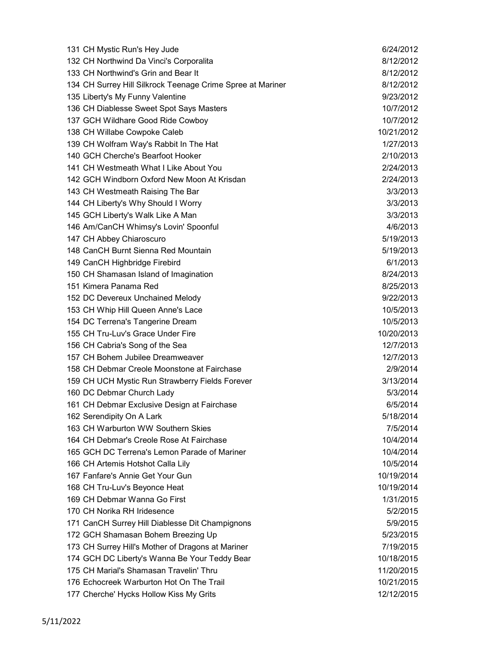| 131 CH Mystic Run's Hey Jude                               | 6/24/2012  |
|------------------------------------------------------------|------------|
| 132 CH Northwind Da Vinci's Corporalita                    | 8/12/2012  |
| 133 CH Northwind's Grin and Bear It                        | 8/12/2012  |
| 134 CH Surrey Hill Silkrock Teenage Crime Spree at Mariner | 8/12/2012  |
| 135 Liberty's My Funny Valentine                           | 9/23/2012  |
| 136 CH Diablesse Sweet Spot Says Masters                   | 10/7/2012  |
| 137 GCH Wildhare Good Ride Cowboy                          | 10/7/2012  |
| 138 CH Willabe Cowpoke Caleb                               | 10/21/2012 |
| 139 CH Wolfram Way's Rabbit In The Hat                     | 1/27/2013  |
| 140 GCH Cherche's Bearfoot Hooker                          | 2/10/2013  |
| 141 CH Westmeath What I Like About You                     | 2/24/2013  |
| 142 GCH Windborn Oxford New Moon At Krisdan                | 2/24/2013  |
| 143 CH Westmeath Raising The Bar                           | 3/3/2013   |
| 144 CH Liberty's Why Should I Worry                        | 3/3/2013   |
| 145 GCH Liberty's Walk Like A Man                          | 3/3/2013   |
| 146 Am/CanCH Whimsy's Lovin' Spoonful                      | 4/6/2013   |
| 147 CH Abbey Chiaroscuro                                   | 5/19/2013  |
| 148 CanCH Burnt Sienna Red Mountain                        | 5/19/2013  |
| 149 CanCH Highbridge Firebird                              | 6/1/2013   |
| 150 CH Shamasan Island of Imagination                      | 8/24/2013  |
| 151 Kimera Panama Red                                      | 8/25/2013  |
| 152 DC Devereux Unchained Melody                           | 9/22/2013  |
| 153 CH Whip Hill Queen Anne's Lace                         | 10/5/2013  |
| 154 DC Terrena's Tangerine Dream                           | 10/5/2013  |
| 155 CH Tru-Luv's Grace Under Fire                          | 10/20/2013 |
| 156 CH Cabria's Song of the Sea                            | 12/7/2013  |
| 157 CH Bohem Jubilee Dreamweaver                           | 12/7/2013  |
| 158 CH Debmar Creole Moonstone at Fairchase                | 2/9/2014   |
| 159 CH UCH Mystic Run Strawberry Fields Forever            | 3/13/2014  |
| 160 DC Debmar Church Lady                                  | 5/3/2014   |
| 161 CH Debmar Exclusive Design at Fairchase                | 6/5/2014   |
| 162 Serendipity On A Lark                                  | 5/18/2014  |
| 163 CH Warburton WW Southern Skies                         | 7/5/2014   |
| 164 CH Debmar's Creole Rose At Fairchase                   | 10/4/2014  |
| 165 GCH DC Terrena's Lemon Parade of Mariner               | 10/4/2014  |
| 166 CH Artemis Hotshot Calla Lily                          | 10/5/2014  |
| 167 Fanfare's Annie Get Your Gun                           | 10/19/2014 |
| 168 CH Tru-Luv's Beyonce Heat                              | 10/19/2014 |
| 169 CH Debmar Wanna Go First                               | 1/31/2015  |
| 170 CH Norika RH Iridesence                                | 5/2/2015   |
| 171 CanCH Surrey Hill Diablesse Dit Champignons            | 5/9/2015   |
| 172 GCH Shamasan Bohem Breezing Up                         | 5/23/2015  |
| 173 CH Surrey Hill's Mother of Dragons at Mariner          | 7/19/2015  |
| 174 GCH DC Liberty's Wanna Be Your Teddy Bear              | 10/18/2015 |
| 175 CH Marial's Shamasan Travelin' Thru                    | 11/20/2015 |
| 176 Echocreek Warburton Hot On The Trail                   | 10/21/2015 |
| 177 Cherche' Hycks Hollow Kiss My Grits                    | 12/12/2015 |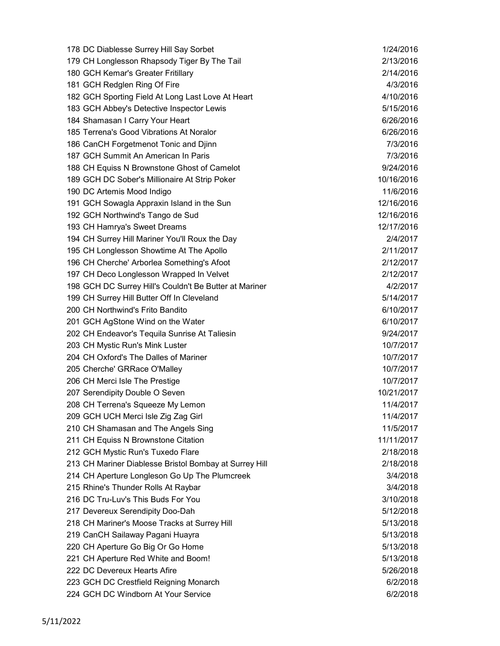| 178 DC Diablesse Surrey Hill Say Sorbet                | 1/24/2016  |
|--------------------------------------------------------|------------|
| 179 CH Longlesson Rhapsody Tiger By The Tail           | 2/13/2016  |
| 180 GCH Kemar's Greater Fritillary                     | 2/14/2016  |
| 181 GCH Redglen Ring Of Fire                           | 4/3/2016   |
| 182 GCH Sporting Field At Long Last Love At Heart      | 4/10/2016  |
| 183 GCH Abbey's Detective Inspector Lewis              | 5/15/2016  |
| 184 Shamasan I Carry Your Heart                        | 6/26/2016  |
| 185 Terrena's Good Vibrations At Noralor               | 6/26/2016  |
| 186 CanCH Forgetmenot Tonic and Djinn                  | 7/3/2016   |
| 187 GCH Summit An American In Paris                    | 7/3/2016   |
| 188 CH Equiss N Brownstone Ghost of Camelot            | 9/24/2016  |
| 189 GCH DC Sober's Millionaire At Strip Poker          | 10/16/2016 |
| 190 DC Artemis Mood Indigo                             | 11/6/2016  |
| 191 GCH Sowagla Appraxin Island in the Sun             | 12/16/2016 |
| 192 GCH Northwind's Tango de Sud                       | 12/16/2016 |
| 193 CH Hamrya's Sweet Dreams                           | 12/17/2016 |
| 194 CH Surrey Hill Mariner You'll Roux the Day         | 2/4/2017   |
| 195 CH Longlesson Showtime At The Apollo               | 2/11/2017  |
| 196 CH Cherche' Arborlea Something's Afoot             | 2/12/2017  |
| 197 CH Deco Longlesson Wrapped In Velvet               | 2/12/2017  |
| 198 GCH DC Surrey Hill's Couldn't Be Butter at Mariner | 4/2/2017   |
| 199 CH Surrey Hill Butter Off In Cleveland             | 5/14/2017  |
| 200 CH Northwind's Frito Bandito                       | 6/10/2017  |
| 201 GCH AgStone Wind on the Water                      | 6/10/2017  |
| 202 CH Endeavor's Tequila Sunrise At Taliesin          | 9/24/2017  |
| 203 CH Mystic Run's Mink Luster                        | 10/7/2017  |
| 204 CH Oxford's The Dalles of Mariner                  | 10/7/2017  |
| 205 Cherche' GRRace O'Malley                           | 10/7/2017  |
| 206 CH Merci Isle The Prestige                         | 10/7/2017  |
| 207 Serendipity Double O Seven                         | 10/21/2017 |
| 208 CH Terrena's Squeeze My Lemon                      | 11/4/2017  |
| 209 GCH UCH Merci Isle Zig Zag Girl                    | 11/4/2017  |
| 210 CH Shamasan and The Angels Sing                    | 11/5/2017  |
| 211 CH Equiss N Brownstone Citation                    | 11/11/2017 |
| 212 GCH Mystic Run's Tuxedo Flare                      | 2/18/2018  |
| 213 CH Mariner Diablesse Bristol Bombay at Surrey Hill | 2/18/2018  |
| 214 CH Aperture Longleson Go Up The Plumcreek          | 3/4/2018   |
| 215 Rhine's Thunder Rolls At Raybar                    | 3/4/2018   |
| 216 DC Tru-Luv's This Buds For You                     | 3/10/2018  |
| 217 Devereux Serendipity Doo-Dah                       | 5/12/2018  |
| 218 CH Mariner's Moose Tracks at Surrey Hill           | 5/13/2018  |
| 219 CanCH Sailaway Pagani Huayra                       | 5/13/2018  |
| 220 CH Aperture Go Big Or Go Home                      | 5/13/2018  |
| 221 CH Aperture Red White and Boom!                    | 5/13/2018  |
| 222 DC Devereux Hearts Afire                           | 5/26/2018  |
| 223 GCH DC Crestfield Reigning Monarch                 | 6/2/2018   |
| 224 GCH DC Windborn At Your Service                    | 6/2/2018   |